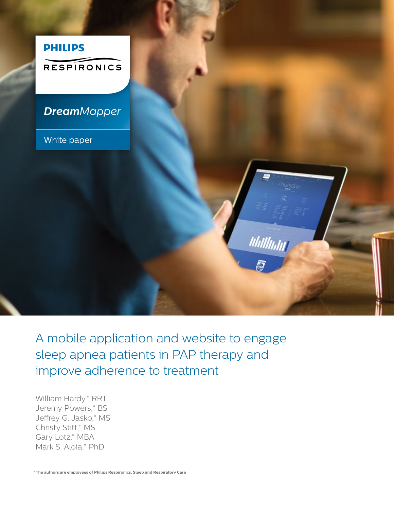

A mobile application and website to engage sleep apnea patients in PAP therapy and improve adherence to treatment

William Hardy,\* RRT Jeremy Powers,\* BS Jeffrey G. Jasko,\* MS Christy Stitt,\* MS Gary Lotz,\* MBA Mark S. Aloia,\* PhD

**\*The authors are employees of Philips Respironics, Sleep and Respiratory Care**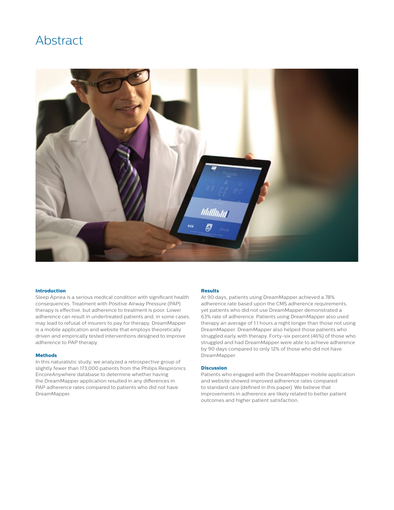# Abstract



### **Introduction**

Sleep Apnea is a serious medical condition with significant health consequences. Treatment with Positive Airway Pressure (PAP) therapy is effective, but adherence to treatment is poor. Lower adherence can result in undertreated patients and, in some cases, may lead to refusal of insurers to pay for therapy. DreamMapper is a mobile application and website that employs theoretically driven and empirically tested interventions designed to improve adherence to PAP therapy.

### **Methods**

In this naturalistic study, we analyzed a retrospective group of slightly fewer than 173,000 patients from the Philips Respironics EncoreAnywhere database to determine whether having the DreamMapper application resulted in any differences in PAP adherence rates compared to patients who did not have DreamMapper.

### **Results**

At 90 days, patients using DreamMapper achieved a 78% adherence rate based upon the CMS adherence requirements, yet patients who did not use DreamMapper demonstrated a 63% rate of adherence. Patients using DreamMapper also used therapy an average of 1.1 hours a night longer than those not using DreamMapper. DreamMapper also helped those patients who struggled early with therapy. Forty-six percent (46%) of those who struggled and had DreamMapper were able to achieve adherence by 90 days compared to only 12% of those who did not have DreamMapper.

### **Discussion**

Patients who engaged with the DreamMapper mobile application and website showed improved adherence rates compared to standard care (defined in this paper). We believe that improvements in adherence are likely related to better patient outcomes and higher patient satisfaction.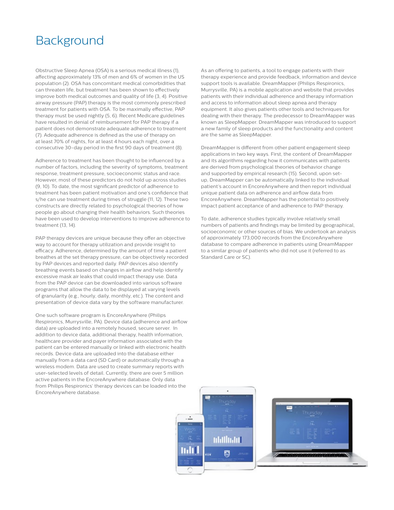# Background

Obstructive Sleep Apnea (OSA) is a serious medical illness (1), affecting approximately 13% of men and 6% of women in the US population (2). OSA has concomitant medical comorbidities that can threaten life, but treatment has been shown to effectively improve both medical outcomes and quality of life (3, 4). Positive airway pressure (PAP) therapy is the most commonly prescribed treatment for patients with OSA. To be maximally effective, PAP therapy must be used nightly (5, 6). Recent Medicare guidelines have resulted in denial of reimbursement for PAP therapy if a patient does not demonstrate adequate adherence to treatment (7). Adequate adherence is defined as the use of therapy on at least 70% of nights, for at least 4 hours each night, over a consecutive 30-day period in the first 90 days of treatment (8).

Adherence to treatment has been thought to be influenced by a number of factors, including the severity of symptoms, treatment response, treatment pressure, socioeconomic status and race. However, most of these predictors do not hold up across studies (9, 10). To date, the most significant predictor of adherence to treatment has been patient motivation and one's confidence that s/he can use treatment during times of struggle (11, 12). These two constructs are directly related to psychological theories of how people go about changing their health behaviors. Such theories have been used to develop interventions to improve adherence to treatment (13, 14).

PAP therapy devices are unique because they offer an objective way to account for therapy utilization and provide insight to efficacy. Adherence, determined by the amount of time a patient breathes at the set therapy pressure, can be objectively recorded by PAP devices and reported daily. PAP devices also identify breathing events based on changes in airflow and help identify excessive mask air leaks that could impact therapy use. Data from the PAP device can be downloaded into various software programs that allow the data to be displayed at varying levels of granularity (e.g., hourly, daily, monthly, etc.). The content and presentation of device data vary by the software manufacturer.

One such software program is EncoreAnywhere (Philips Respironics, Murrysville, PA). Device data (adherence and airflow data) are uploaded into a remotely housed, secure server. In addition to device data, additional therapy, health information, healthcare provider and payer information associated with the patient can be entered manually or linked with electronic health records. Device data are uploaded into the database either manually from a data card (SD Card) or automatically through a wireless modem. Data are used to create summary reports with user-selected levels of detail. Currently, there are over 5 million active patients in the EncoreAnywhere database. Only data from Philips Respironics' therapy devices can be loaded into the EncoreAnywhere database.

As an offering to patients, a tool to engage patients with their therapy experience and provide feedback, information and device support tools is available. DreamMapper (Philips Respironics, Murrysville, PA) is a mobile application and website that provides patients with their individual adherence and therapy information and access to information about sleep apnea and therapy equipment. It also gives patients other tools and techniques for dealing with their therapy. The predecessor to DreamMapper was known as SleepMapper. DreamMapper was introduced to support a new family of sleep products and the functionality and content are the same as SleepMapper.

DreamMapper is different from other patient engagement sleep applications in two key ways. First, the content of DreamMapper and its algorithms regarding how it communicates with patients are derived from psychological theories of behavior change and supported by empirical research (15). Second, upon setup, DreamMapper can be automatically linked to the individual patient's account in EncoreAnywhere and then report individual unique patient data on adherence and airflow data from EncoreAnywhere. DreamMapper has the potential to positively impact patient acceptance of and adherence to PAP therapy.

To date, adherence studies typically involve relatively small numbers of patients and findings may be limited by geographical, socioeconomic or other sources of bias. We undertook an analysis of approximately 173,000 records from the EncoreAnywhere database to compare adherence in patients using DreamMapper to a similar group of patients who did not use it (referred to as Standard Care or SC).

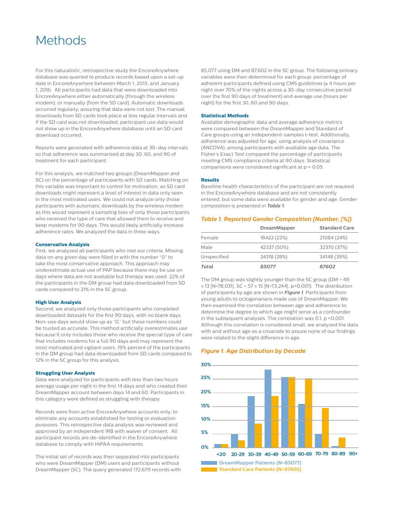# **Methods**

For this naturalistic, retrospective study the EncoreAnywhere database was queried to produce records based upon a set-up date in EncoreAnywhere between March 1, 2013, and January 1, 2016. All participants had data that were downloaded into EncoreAnywhere either automatically (through the wireless modem), or manually (from the SD card). Automatic downloads occurred regularly, assuring that data were not lost. The manual downloads from SD cards took place at less regular intervals and if the SD card was not downloaded, participant use data would not show up in the EncoreAnywhere database until an SD card download occurred.

Reports were generated with adherence data at 30-day intervals so that adherence was summarized at day 30, 60, and 90 of treatment for each participant.

For this analysis, we matched two groups (DreamMapper and SC) on the percentage of participants with SD cards. Matching on this variable was important to control for motivation, as SD card downloads might represent a level of interest in data only seen in the most motivated users. We could not analyze only those participants with automatic downloads by the wireless modem as this would represent a sampling bias of only those participants who received the type of care that allowed them to receive and keep modems for 90 days. This would likely artificially increase adherence rates. We analyzed the data in three ways.

### **Conservative Analysis**

First, we analyzed all participants who met our criteria. Missing data on any given day were filled in with the number "0" to take the most conservative approach. This approach may underestimate actual use of PAP because there may be use on days where data are not available but therapy was used. 22% of the participants in the DM group had data downloaded from SD cards compared to 21% in the SC group.

#### **High User Analysis**

Second, we analyzed only those participants who completed downloaded datasets for the first 90 days, with no blank days. Non-use days would show up as "0," but these numbers could be trusted as accurate. This method artificially overestimates use because it only includes those who receive the special type of care that includes modems for a full 90 days and may represent the most motivated and vigilant users. 19% percent of the participants in the DM group had data downloaded from SD cards compared to 12% in the SC group for this analysis.

#### **Struggling User Analysis**

Data were analyzed for participants with less than two hours average usage per night in the first 14 days and who created their DreamMapper account between days 14 and 60. Participants in this category were defined as struggling with therapy.

Records were from active EncoreAnywhere accounts only, to eliminate any accounts established for testing or evaluation purposes. This retrospective data analysis was reviewed and approved by an independent IRB with waiver of consent. All participant records are de-identified in the EncoreAnywhere database to comply with HIPAA requirements.

The initial set of records was then separated into participants who were DreamMapper (DM) users and participants without DreamMapper (SC). The query generated 172,679 records with 85,077 using DM and 87,602 in the SC group. The following primary variables were then determined for each group: percentage of adherent participants defined using CMS guidelines (≥ 4 hours per night over 70% of the nights across a 30-day consecutive period over the first 90 days of treatment) and average use (hours per night) for the first 30, 60 and 90 days.

### **Statistical Methods**

Available demographic data and average adherence metrics were compared between the DreamMapper and Standard of Care groups using an independent-samples t-test. Additionally, adherence was adjusted for age, using analysis of covariance (ANCOVA), among participants with available age data. The Fisher's Exact Test compared the percentage of participants meeting CMS compliance criteria at 90 days. Statistical comparisons were considered significant at p < 0.05.

#### **Results**

Baseline health characteristics of the participant are not required in the EncoreAnywhere database and are not consistently entered, but some data were available for gender and age. Gender composition is presented in *Table 1*.

# *Table 1. Reported Gender Composition (Number, [%])*

|             | <b>DreamMapper</b> | <b>Standard Care</b> |
|-------------|--------------------|----------------------|
| Female      | 18422 (22%)        | 21084 (24%)          |
| Male        | 42337 (50%)        | 32370 (37%)          |
| Unspecified | 24318 (28%)        | 34148 (39%)          |
| Total       | 85077              | 87602                |

The DM group was slightly younger than the SC group (DM = 49 ± 13 [N=78,031], SC = 57 ± 15 [N=73,244], p<0.001). The distribution of participants by age are shown in *Figure 1*. Participants from young adults to octogenarians made use of DreamMapper. We then examined the correlation between age and adherence to determine the degree to which age might serve as a confounder in the subsequent analyses. The correlation was 0.1, p <0.001. Although this correlation is considered small, we analyzed the data with and without age as a covariate to assure none of our findings were related to the slight difference in age.

### *Figure 1. Age Distribution by Decade*

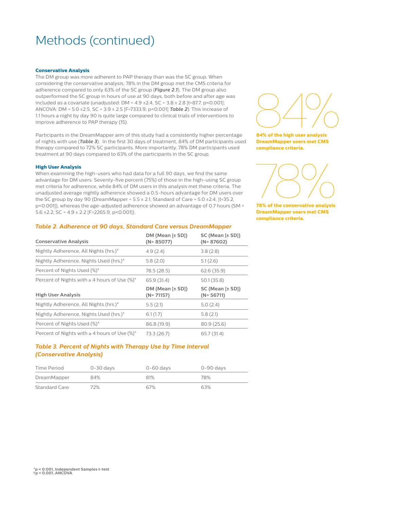# Methods (continued)

#### **Conservative Analysis**

The DM group was more adherent to PAP therapy than was the SC group. When considering the conservative analysis, 78% in the DM group met the CMS criteria for adherence compared to only 63% of the SC group (*Figure 2.1*). The DM group also outperformed the SC group in hours of use at 90 days, both before and after age was included as a covariate (unadjusted: DM =  $4.9 \pm 2.4$ , SC =  $3.8 \pm 2.8$  [t=87.7, p<0.001]; ANCOVA: DM = 5.0 ±2.5, SC = 3.9 ± 2.5 [F=7333.9, p<0.001] *Table 2*). This increase of 1.1 hours a night by day 90 is quite large compared to clinical trials of interventions to improve adherence to PAP therapy (15).

Participants in the DreamMapper arm of this study had a consistently higher percentage of nights with use (*Table 3*). In the first 30 days of treatment, 84% of DM participants used therapy compared to 72% SC participants. More importantly, 78% DM participants used treatment at 90 days compared to 63% of the participants in the SC group.

### **High User Analysis**

When examining the high-users who had data for a full 90 days, we find the same advantage for DM users. Seventy-five percent (75%) of those in the high-using SC group met criteria for adherence, while 84% of DM users in this analysis met these criteria. The unadjusted average nightly adherence showed a 0.5-hours advantage for DM users over the SC group by day 90 (DreamMapper =  $5.5 \pm 2.1$ , Standard of Care =  $5.0 \pm 2.4$ , [ $t=35.2$ , p<0.001]), whereas the age-adjusted adherence showed an advantage of 0.7 hours (SM = 5.6 ± 2.2, SC =  $4.9 \pm 2.2$  [F=2265.9, p < 0.001]).

### *Table 2. Adherence at 90 days, Standard Care versus DreamMapper*

| <b>Conservative Analysis</b>                      | $DM (Mean \lbrack \pm SD \rbrack)$<br>$(N = 85077)$ | SC (Mean [± SD])<br>$(N = 87602)$ |
|---------------------------------------------------|-----------------------------------------------------|-----------------------------------|
| Nightly Adherence, All Nights (hrs.)*             | 4.9(2.4)                                            | 3.8(2.8)                          |
| Nightly Adherence, Nights Used (hrs.)*            | 5.8(2.0)                                            | 5.1(2.6)                          |
| Percent of Nights Used (%)*                       | 78.5 (28.5)                                         | 62.6(35.9)                        |
| Percent of Nights with $\geq 4$ hours of Use (%)* | 65.9 (31.4)                                         | 50.1(35.8)                        |
|                                                   |                                                     |                                   |
| <b>High User Analysis</b>                         | DM (Mean [± SD])<br>$(N = 71157)$                   | SC (Mean [± SD])<br>$(N = 56711)$ |
| Nightly Adherence, All Nights (hrs.)*             | 5.5(2.1)                                            | 5.0(2.4)                          |
| Nightly Adherence, Nights Used (hrs.)*            | 6.1(1.7)                                            | 5.8(2.1)                          |
| Percent of Nights Used (%)*                       | 86.8 (19.9)                                         | 80.9(25.6)                        |



**84% of the high user analysis DreamMapper users met CMS compliance criteria.**



**78% of the conservative analysis DreamMapper users met CMS compliance criteria.**

# *Table 3. Percent of Nights with Therapy Use by Time Interval (Conservative Analysis)*

| Time Period   | 0-30 days | 0-60 days | 0-90 days |
|---------------|-----------|-----------|-----------|
| DreamMapper   | 84%       | 81%       | 78%       |
| Standard Care | 72%       | 67%       | 63%       |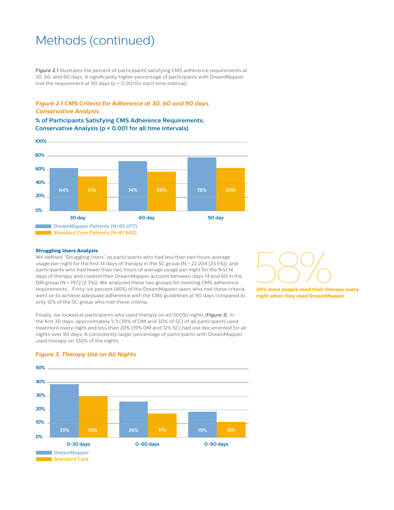# Methods (continued)

*Figure 2.1* illustrates the percent of participants satisfying CMS adherence requirements at 30, 60, and 90 days. A significantly higher percentage of participants with DreamMapper met the requirement at 90 days (p < 0.001 for each time interval).

# *Figure 2.1 CMS Criteria for Adherence at 30, 60 and 90 days, Conservative Analysis*

**% of Participants Satisfying CMS Adherence Requirements; Conservative Analysis (p < 0.001 for all time intervals)**



### **Struggling Users Analysis**

We defined "Struggling Users" as participants who had less than two hours average usage per night for the first 14 days of therapy in the SC group (N = 22,204 [23.5%]), and participants who had fewer than two hours of average usage per night for the first 14 days of therapy and created their DreamMapper account between days 14 and 60 in the DM group (N = 1972 [2.3%]). We analyzed these two groups for meeting CMS adherence requirements. Forty-six percent (46%) of the DreamMapper users who met these criteria went on to achieve adequate adherence with the CMS guidelines at 90 days compared to only 12% of the SC group who met these criteria.

Finally, we looked at participants who used therapy on all (100%) nights (*Figure 3*). In the first 30 days, approximately 1/3 (39% of DM and 30% of SC) of all participants used treatment every night and less than 20% (19% DM and 12% SC) had use documented for all nights over 90 days. A consistently larger percentage of participants with DreamMapper used therapy on 100% of the nights.



**58% more people used their therapy every night when they used DreamMapper.**



## *Figure 3. Therapy Use on All Nights*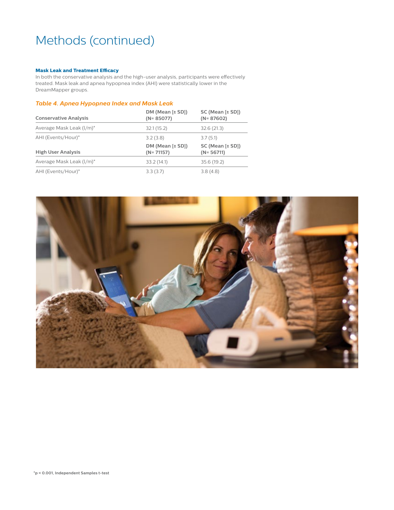# Methods (continued)

# **Mask Leak and Treatment Efficacy**

In both the conservative analysis and the high-user analysis, participants were effectively treated. Mask leak and apnea hypopnea index (AHI) were statistically lower in the DreamMapper groups.

# *Table 4. Apnea Hypopnea Index and Mask Leak*

| <b>Conservative Analysis</b> | $DM (Mean \lbrack \pm SD \rbrack)$<br>$(N = 85077)$ | SC (Mean [± SD])<br>$(N = 87602)$        |
|------------------------------|-----------------------------------------------------|------------------------------------------|
| Average Mask Leak (I/m)*     | 32.1(15.2)                                          | 32.6(21.3)                               |
| AHI (Events/Hour)*           | 3.2(3.8)                                            | 3.7(5.1)                                 |
|                              |                                                     |                                          |
| <b>High User Analysis</b>    | $DM (Mean \lbrack \pm SD \rbrack)$<br>$(N = 71157)$ | $SC$ (Mean $[\pm SD]$ )<br>$(N = 56711)$ |
| Average Mask Leak (I/m)*     | 33.2(14.1)                                          | 35.6(19.2)                               |

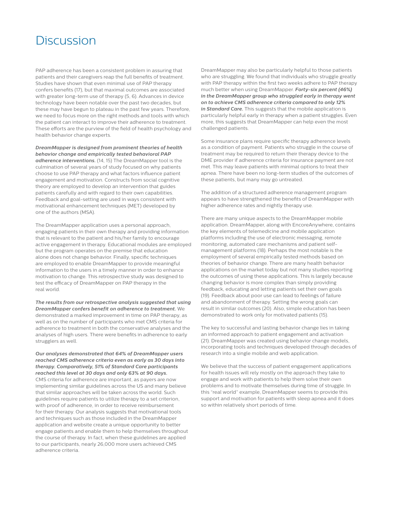# **Discussion**

PAP adherence has been a consistent problem in assuring that patients and their caregivers reap the full benefits of treatment. Studies have shown that even minimal use of PAP therapy confers benefits (17), but that maximal outcomes are associated with greater long-term use of therapy (5, 6). Advances in device technology have been notable over the past two decades, but these may have begun to plateau in the past few years. Therefore, we need to focus more on the right methods and tools with which the patient can interact to improve their adherence to treatment. These efforts are the purview of the field of health psychology and health behavior change experts.

*DreamMapper is designed from prominent theories of health behavior change and empirically tested behavioral PAP adherence interventions.* (14, 15) The DreamMapper tool is the culmination of several years of study focused on why patients choose to use PAP therapy and what factors influence patient engagement and motivation. Constructs from social cognitive theory are employed to develop an intervention that guides patients carefully and with regard to their own capabilities. Feedback and goal-setting are used in ways consistent with motivational enhancement techniques (MET) developed by one of the authors (MSA).

The DreamMapper application uses a personal approach, engaging patients in their own therapy and providing information that is relevant to the patient and his/her family to encourage active engagement in therapy. Educational modules are employed but the program operates on the premise that education alone does not change behavior. Finally, specific techniques are employed to enable DreamMapper to provide meaningful information to the users in a timely manner in order to enhance motivation to change. This retrospective study was designed to test the efficacy of DreamMapper on PAP therapy in the real world.

*The results from our retrospective analysis suggested that using DreamMapper confers benefit on adherence to treatment.* We demonstrated a marked improvement in time on PAP therapy, as well as on the number of participants who met CMS criteria for adherence to treatment in both the conservative analyses and the analyses of high users. There were benefits in adherence to early strugglers as well.

*Our analyses demonstrated that 64% of DreamMapper users reached CMS adherence criteria even as early as 30 days into therapy. Comparatively, 51% of Standard Care participants reached this level at 30 days and only 63% at 90 days.*

CMS criteria for adherence are important, as payers are now implementing similar guidelines across the US and many believe that similar approaches will be taken across the world. Such guidelines require patients to utilize therapy to a set criterion, with proof of adherence, in order to receive reimbursement for their therapy. Our analysis suggests that motivational tools and techniques such as those included in the DreamMapper application and website create a unique opportunity to better engage patients and enable them to help themselves throughout the course of therapy. In fact, when these guidelines are applied to our participants, nearly 26,000 more users achieved CMS adherence criteria.

DreamMapper may also be particularly helpful to those patients who are struggling. We found that individuals who struggle greatly with PAP therapy within the first two weeks adhere to PAP therapy much better when using DreamMapper. *Forty-six percent (46%) in the DreamMapper group who struggled early in therapy went on to achieve CMS adherence criteria compared to only 12% in Standard Care.* This suggests that the mobile application is particularly helpful early in therapy when a patient struggles. Even more, this suggests that DreamMapper can help even the most challenged patients.

Some insurance plans require specific therapy adherence levels as a condition of payment. Patients who struggle in the course of treatment may be required to return their therapy device to the DME provider if adherence criteria for insurance payment are not met. This may leave patients with minimal options to treat their apnea. There have been no long-term studies of the outcomes of these patients, but many may go untreated.

The addition of a structured adherence management program appears to have strengthened the benefits of DreamMapper with higher adherence rates and nightly therapy use.

There are many unique aspects to the DreamMapper mobile application. DreamMapper, along with EncoreAnywhere, contains the key elements of telemedicine and mobile application platforms including the use of electronic messaging, remote monitoring, automated care mechanisms and patient selfmanagement platforms (18). Perhaps the most notable is the employment of several empirically tested methods based on theories of behavior change. There are many health behavior applications on the market today but not many studies reporting the outcomes of using these applications. This is largely because changing behavior is more complex than simply providing feedback, educating and letting patients set their own goals (19). Feedback about poor use can lead to feelings of failure and abandonment of therapy. Setting the wrong goals can result in similar outcomes (20). Also, simple education has been demonstrated to work only for motivated patients (15).

The key to successful and lasting behavior change lies in taking an informed approach to patient engagement and activation (21). DreamMapper was created using behavior change models, incorporating tools and techniques developed through decades of research into a single mobile and web application.

We believe that the success of patient engagement applications for health issues will rely mostly on the approach they take to engage and work with patients to help them solve their own problems and to motivate themselves during time of struggle. In this "real world" example, DreamMapper seems to provide this support and motivation for patients with sleep apnea and it does so within relatively short periods of time.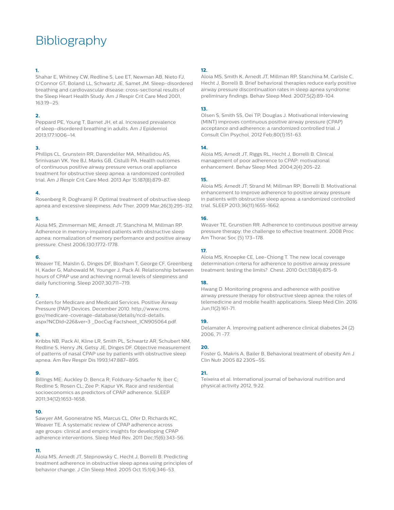# Bibliography

# **1.**

Shahar E, Whitney CW, Redline S, Lee ET, Newman AB, Nieto FJ, O'Connor GT, Boland LL, Schwartz JE, Samet JM. Sleep-disordered breathing and cardiovascular disease: cross-sectional results of the Sleep Heart Health Study. Am J Respir Crit Care Med 2001, 163:19–25.

# **2.**

Peppard PE, Young T, Barnet JH, et al. Increased prevalence of sleep-disordered breathing in adults. Am J Epidemiol 2013;177:1006–14.

## **3.**

Phillips CL, Grunstein RR, Darendeliler MA, Mihailidou AS, Srinivasan VK, Yee BJ, Marks GB, Cistulli PA. Health outcomes of continuous positive airway pressure versus oral appliance treatment for obstructive sleep apnea: a randomized controlled trial. Am J Respir Crit Care Med. 2013 Apr 15;187(8):879-87.

### **4.**

Rosenberg R, Doghramji P. Optimal treatment of obstructive sleep apnea and excessive sleepiness. Adv Ther. 2009 Mar;26(3):295-312.

### **5.**

Aloia MS, Zimmerman ME, Arnedt JT, Stanchina M, Millman RP. Adherence in memory-impaired patients with obstructive sleep apnea: normalization of memory performance and positive airway pressure. Chest 2006;130;1772-1778.

### **6.**

Weaver TE, Maislin G, Dinges DF, Bloxham T, George CF, Greenberg H, Kader G, Mahowald M, Younger J, Pack AI. Relationship between hours of CPAP use and achieving normal levels of sleepiness and daily functioning. Sleep 2007;30:711–719.

## **7.**

Centers for Medicare and Medicaid Services. Positive Airway Pressure (PAP) Devices. December 2010. http://www.cms. gov/medicare-coverage-database/details/ncd-details. aspx?NCDId=226&ver=3 \_DocCvg Factsheet\_ICN905064.pdf.

## **8.**

Kribbs NB, Pack AI, Kline LR, Smith PL, Schwartz AR, Schubert NM, Redline S, Henry JN, Getsy JE, Dinges DF. Objective measurement of patterns of nasal CPAP use by patients with obstructive sleep apnea. Am Rev Respir Dis 1993;147:887–895.

## **9.**

Billings ME; Auckley D; Benca R; Foldvary-Schaefer N; Iber C; Redline S; Rosen CL; Zee P; Kapur VK. Race and residential socioeconomics as predictors of CPAP adherence. SLEEP 2011;34(12):1653-1658.

## **10.**

Sawyer AM, Gooneratne NS, Marcus CL, Ofer D, Richards KC, Weaver TE. A systematic review of CPAP adherence across age groups: clinical and empiric insights for developing CPAP adherence interventions. Sleep Med Rev. 2011 Dec;15(6):343-56.

## **11.**

Aloia MS, Arnedt JT, Stepnowsky C, Hecht J, Borrelli B. Predicting treatment adherence in obstructive sleep apnea using principles of behavior change. J Clin Sleep Med. 2005 Oct 15;1(4):346-53.

# **12.**

Aloia MS, Smith K, Arnedt JT, Millman RP, Stanchina M, Carlisle C, Hecht J, Borrelli B. Brief behavioral therapies reduce early positive airway pressure discontinuation rates in sleep apnea syndrome: preliminary findings. Behav Sleep Med. 2007;5(2):89-104.

# **13.**

Olsen S, Smith SS, Oei TP, Douglas J. Motivational interviewing (MINT) improves continuous positive airway pressure (CPAP) acceptance and adherence: a randomized controlled trial. J Consult Clin Psychol. 2012 Feb;80(1):151-63.

### **14.**

Aloia MS, Arnedt JT, Riggs RL, Hecht J, Borrelli B. Clinical management of poor adherence to CPAP: motivational enhancement. Behav Sleep Med. 2004;2(4):205-22.

### **15.**

Aloia MS; Arnedt JT; Strand M; Millman RP; Borrelli B. Motivational enhancement to improve adherence to positive airway pressure in patients with obstructive sleep apnea: a randomized controlled trial. SLEEP 2013;36(11):1655-1662.

# **16.**

Weaver TE, Grunstien RR. Adherence to continuous positive airway pressure therapy: the challenge to effective treatment. 2008 Proc Am Thorac Soc (5) 173–178.

# **17.**

Aloia MS, Knoepke CE, Lee-Chiong T. The new local coverage determination criteria for adherence to positive airway pressure treatment: testing the limits? Chest. 2010 Oct;138(4):875-9.

## **18.**

Hwang D. Monitoring progress and adherence with positive airway pressure therapy for obstructive sleep apnea: the roles of telemedicine and mobile health applications. Sleep Med Clin. 2016 Jun;11(2):161-71.

# **19.**

Delamater A. Improving patient adherence clinical diabetes 24 (2) 2006, 71 -77.

## **20.**

Foster G, Makris A, Bailer B, Behavioral treatment of obesity Am J Clin Nutr 2005 82 230S–5S.

## **21.**

Teixeira et al. International journal of behavioral nutrition and physical activity 2012, 9:22.